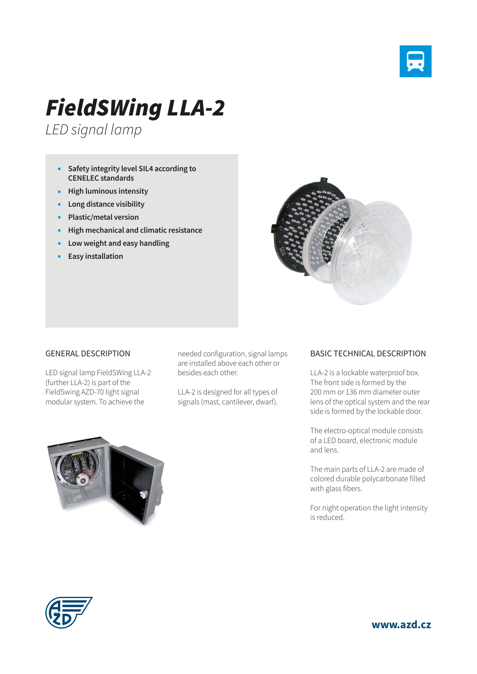

## *FieldSWing LLA-2*

*LED signal lamp*

- **Safety integrity level SIL4 according to CENELEC standards**
- **High luminous intensity**
- **Long distance visibility**
- **Plastic/metal version**
- **High mechanical and climatic resistance**
- **Low weight and easy handling**
- **Easy installation**



LED signal lamp FieldSWing LLA-2 (further LLA-2) is part of the FieldSwing AZD-70 light signal modular system. To achieve the

needed configuration, signal lamps are installed above each other or besides each other.

LLA-2 is designed for all types of signals (mast, cantilever, dwarf).



LLA-2 is a lockable waterproof box. The front side is formed by the 200 mm or 136 mm diameter outer lens of the optical system and the rear side is formed by the lockable door.

The electro-optical module consists of a LED board, electronic module and lens.

The main parts of LLA-2 are made of colored durable polycarbonate filled with glass fibers.

For night operation the light intensity is reduced.